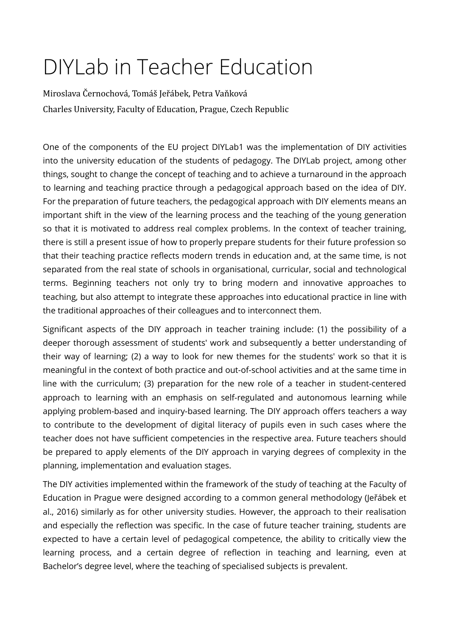# DIYLab in Teacher Education

Miroslava Černochová, Tomáš Jeřábek, Petra Vaňková Čharles University, Faculty of Education, Prague, Čzech Republic

One of the components of the EU project DIYLab1 was the implementation of DIY activities into the university education of the students of pedagogy. The DIYLab project, among other things, sought to change the concept of teaching and to achieve a turnaround in the approach to learning and teaching practice through a pedagogical approach based on the idea of DIY. For the preparation of future teachers, the pedagogical approach with DIY elements means an important shift in the view of the learning process and the teaching of the young generation so that it is motivated to address real complex problems. In the context of teacher training, there is still a present issue of how to properly prepare students for their future profession so that their teaching practice reflects modern trends in education and, at the same time, is not separated from the real state of schools in organisational, curricular, social and technological terms. Beginning teachers not only try to bring modern and innovative approaches to teaching, but also attempt to integrate these approaches into educational practice in line with the traditional approaches of their colleagues and to interconnect them.

Significant aspects of the DIY approach in teacher training include: (1) the possibility of a deeper thorough assessment of students' work and subsequently a better understanding of their way of learning; (2) a way to look for new themes for the students' work so that it is meaningful in the context of both practice and out-of-school activities and at the same time in line with the curriculum; (3) preparation for the new role of a teacher in student-centered approach to learning with an emphasis on self-regulated and autonomous learning while applying problem-based and inquiry-based learning. The DIY approach offers teachers a way to contribute to the development of digital literacy of pupils even in such cases where the teacher does not have sufficient competencies in the respective area. Future teachers should be prepared to apply elements of the DIY approach in varying degrees of complexity in the planning, implementation and evaluation stages.

The DIY activities implemented within the framework of the study of teaching at the Faculty of Education in Prague were designed according to a common general methodology (Jeřábek et al., 2016) similarly as for other university studies. However, the approach to their realisation and especially the reflection was specific. In the case of future teacher training, students are expected to have a certain level of pedagogical competence, the ability to critically view the learning process, and a certain degree of reflection in teaching and learning, even at Bachelor's degree level, where the teaching of specialised subjects is prevalent.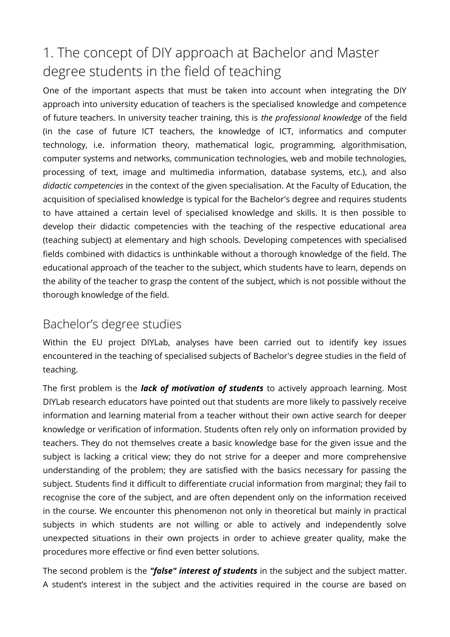# 1. The concept of DIY approach at Bachelor and Master degree students in the field of teaching

One of the important aspects that must be taken into account when integrating the DIY approach into university education of teachers is the specialised knowledge and competence of future teachers. In university teacher training, this is *the professional knowledge* of the field (in the case of future ICT teachers, the knowledge of ICT, informatics and computer technology, i.e. information theory, mathematical logic, programming, algorithmisation, computer systems and networks, communication technologies, web and mobile technologies, processing of text, image and multimedia information, database systems, etc.), and also *didactic competencies* in the context of the given specialisation. At the Faculty of Education, the acquisition of specialised knowledge is typical for the Bachelor's degree and requires students to have attained a certain level of specialised knowledge and skills. It is then possible to develop their didactic competencies with the teaching of the respective educational area (teaching subject) at elementary and high schools. Developing competences with specialised fields combined with didactics is unthinkable without a thorough knowledge of the field. The educational approach of the teacher to the subject, which students have to learn, depends on the ability of the teacher to grasp the content of the subject, which is not possible without the thorough knowledge of the field.

### Bachelor's degree studies

Within the EU project DIYLab, analyses have been carried out to identify key issues encountered in the teaching of specialised subjects of Bachelor's degree studies in the field of teaching.

The first problem is the *lack of motivation of students* to actively approach learning. Most DIYLab research educators have pointed out that students are more likely to passively receive information and learning material from a teacher without their own active search for deeper knowledge or verification of information. Students often rely only on information provided by teachers. They do not themselves create a basic knowledge base for the given issue and the subject is lacking a critical view; they do not strive for a deeper and more comprehensive understanding of the problem; they are satisfied with the basics necessary for passing the subject. Students find it difficult to differentiate crucial information from marginal; they fail to recognise the core of the subject, and are often dependent only on the information received in the course. We encounter this phenomenon not only in theoretical but mainly in practical subjects in which students are not willing or able to actively and independently solve unexpected situations in their own projects in order to achieve greater quality, make the procedures more efective or find even better solutions.

The second problem is the *"false" interest of students* in the subject and the subject matter. A student's interest in the subject and the activities required in the course are based on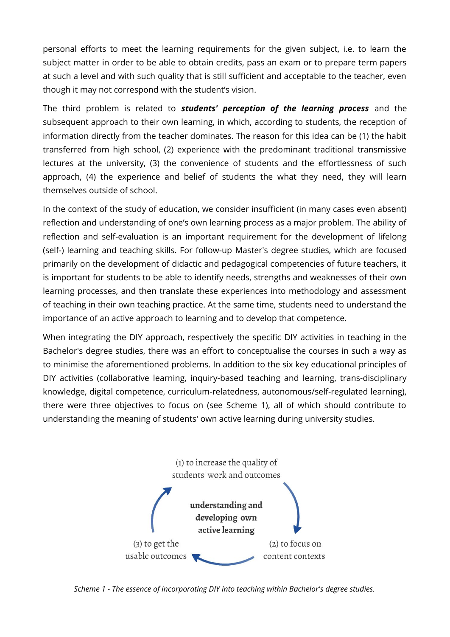personal eforts to meet the learning requirements for the given subject, i.e. to learn the subject matter in order to be able to obtain credits, pass an exam or to prepare term papers at such a level and with such quality that is still sufficient and acceptable to the teacher, even though it may not correspond with the student's vision.

The third problem is related to *students' perception of the learning process* and the subsequent approach to their own learning, in which, according to students, the reception of information directly from the teacher dominates. The reason for this idea can be (1) the habit transferred from high school, (2) experience with the predominant traditional transmissive lectures at the university, (3) the convenience of students and the efortlessness of such approach, (4) the experience and belief of students the what they need, they will learn themselves outside of school.

In the context of the study of education, we consider insufficient (in many cases even absent) refection and understanding of one's own learning process as a major problem. The ability of refection and self-evaluation is an important requirement for the development of lifelong (self-) learning and teaching skills. For follow-up Master's degree studies, which are focused primarily on the development of didactic and pedagogical competencies of future teachers, it is important for students to be able to identify needs, strengths and weaknesses of their own learning processes, and then translate these experiences into methodology and assessment of teaching in their own teaching practice. At the same time, students need to understand the importance of an active approach to learning and to develop that competence.

When integrating the DIY approach, respectively the specific DIY activities in teaching in the Bachelor's degree studies, there was an effort to conceptualise the courses in such a way as to minimise the aforementioned problems. In addition to the six key educational principles of DIY activities (collaborative learning, inquiry-based teaching and learning, trans-disciplinary knowledge, digital competence, curriculum-relatedness, autonomous/self-regulated learning), there were three objectives to focus on (see Scheme 1), all of which should contribute to understanding the meaning of students' own active learning during university studies.



*Scheme 1 - The essence of incorporating DIY into teaching within Bachelor's degree studies.*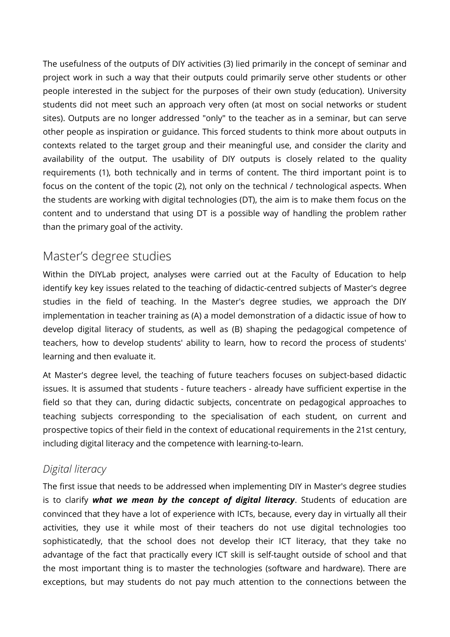The usefulness of the outputs of DIY activities (3) lied primarily in the concept of seminar and project work in such a way that their outputs could primarily serve other students or other people interested in the subject for the purposes of their own study (education). University students did not meet such an approach very often (at most on social networks or student sites). Outputs are no longer addressed "only" to the teacher as in a seminar, but can serve other people as inspiration or guidance. This forced students to think more about outputs in contexts related to the target group and their meaningful use, and consider the clarity and availability of the output. The usability of DIY outputs is closely related to the quality requirements (1), both technically and in terms of content. The third important point is to focus on the content of the topic (2), not only on the technical / technological aspects. When the students are working with digital technologies (DT), the aim is to make them focus on the content and to understand that using DT is a possible way of handling the problem rather than the primary goal of the activity.

### Master's degree studies

Within the DIYLab project, analyses were carried out at the Faculty of Education to help identify key key issues related to the teaching of didactic-centred subjects of Master's degree studies in the field of teaching. In the Master's degree studies, we approach the DIY implementation in teacher training as (A) a model demonstration of a didactic issue of how to develop digital literacy of students, as well as (B) shaping the pedagogical competence of teachers, how to develop students' ability to learn, how to record the process of students' learning and then evaluate it.

At Master's degree level, the teaching of future teachers focuses on subject-based didactic issues. It is assumed that students - future teachers - already have sufficient expertise in the field so that they can, during didactic subjects, concentrate on pedagogical approaches to teaching subjects corresponding to the specialisation of each student, on current and prospective topics of their field in the context of educational requirements in the 21st century, including digital literacy and the competence with learning-to-learn.

### *Digital literacy*

The first issue that needs to be addressed when implementing DIY in Master's degree studies is to clarify *what we mean by the concept of digital literacy*. Students of education are convinced that they have a lot of experience with ICTs, because, every day in virtually all their activities, they use it while most of their teachers do not use digital technologies too sophisticatedly, that the school does not develop their ICT literacy, that they take no advantage of the fact that practically every ICT skill is self-taught outside of school and that the most important thing is to master the technologies (software and hardware). There are exceptions, but may students do not pay much attention to the connections between the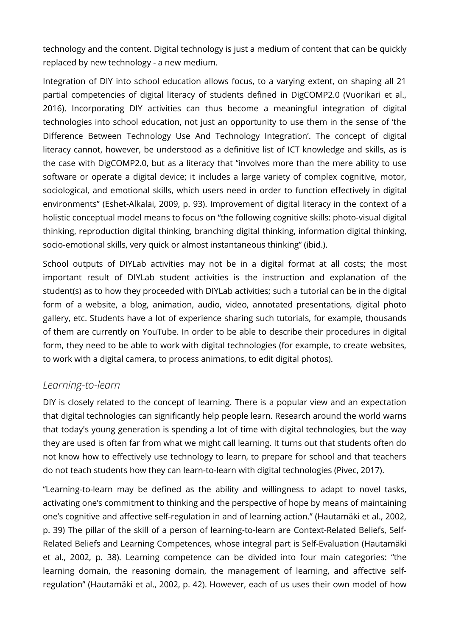technology and the content. Digital technology is just a medium of content that can be quickly replaced by new technology - a new medium.

Integration of DIY into school education allows focus, to a varying extent, on shaping all 21 partial competencies of digital literacy of students defined in DigCOMP2.0 (Vuorikari et al., 2016). Incorporating DIY activities can thus become a meaningful integration of digital technologies into school education, not just an opportunity to use them in the sense of 'the Diference Between Technology Use And Technology Integration'. The concept of digital literacy cannot, however, be understood as a definitive list of ICT knowledge and skills, as is the case with DigCOMP2.0, but as a literacy that "involves more than the mere ability to use software or operate a digital device; it includes a large variety of complex cognitive, motor, sociological, and emotional skills, which users need in order to function efectively in digital environments" (Eshet-Alkalai, 2009, p. 93). Improvement of digital literacy in the context of a holistic conceptual model means to focus on "the following cognitive skills: photo-visual digital thinking, reproduction digital thinking, branching digital thinking, information digital thinking, socio-emotional skills, very quick or almost instantaneous thinking" (ibid.).

School outputs of DIYLab activities may not be in a digital format at all costs; the most important result of DIYLab student activities is the instruction and explanation of the student(s) as to how they proceeded with DIYLab activities; such a tutorial can be in the digital form of a website, a blog, animation, audio, video, annotated presentations, digital photo gallery, etc. Students have a lot of experience sharing such tutorials, for example, thousands of them are currently on YouTube. In order to be able to describe their procedures in digital form, they need to be able to work with digital technologies (for example, to create websites, to work with a digital camera, to process animations, to edit digital photos).

#### *Learning-to-learn*

DIY is closely related to the concept of learning. There is a popular view and an expectation that digital technologies can significantly help people learn. Research around the world warns that today's young generation is spending a lot of time with digital technologies, but the way they are used is often far from what we might call learning. It turns out that students often do not know how to efectively use technology to learn, to prepare for school and that teachers do not teach students how they can learn-to-learn with digital technologies (Pivec, 2017).

"Learning-to-learn may be defined as the ability and willingness to adapt to novel tasks, activating one's commitment to thinking and the perspective of hope by means of maintaining one's cognitive and afective self-regulation in and of learning action." (Hautamäki et al., 2002, p. 39) The pillar of the skill of a person of learning-to-learn are Context-Related Beliefs, Self-Related Beliefs and Learning Competences, whose integral part is Self-Evaluation (Hautamäki et al., 2002, p. 38). Learning competence can be divided into four main categories: "the learning domain, the reasoning domain, the management of learning, and afective selfregulation" (Hautamäki et al., 2002, p. 42). However, each of us uses their own model of how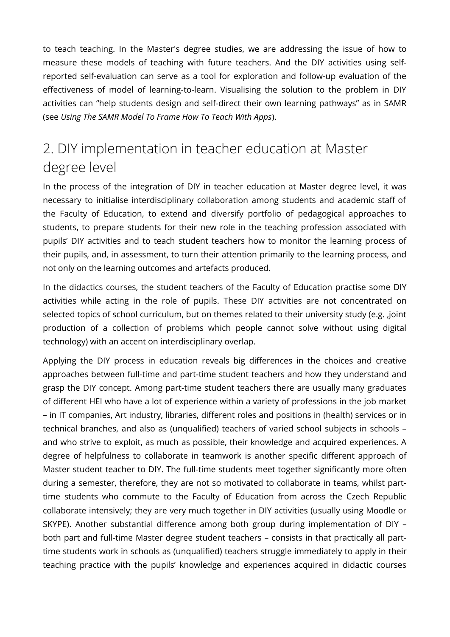to teach teaching. In the Master's degree studies, we are addressing the issue of how to measure these models of teaching with future teachers. And the DIY activities using selfreported self-evaluation can serve as a tool for exploration and follow-up evaluation of the efectiveness of model of learning-to-learn. Visualising the solution to the problem in DIY activities can "help students design and self-direct their own learning pathways" as in SAMR (see *Using The SAMR Model To Frame How To Teach With Apps*).

## 2. DIY implementation in teacher education at Master degree level

In the process of the integration of DIY in teacher education at Master degree level, it was necessary to initialise interdisciplinary collaboration among students and academic staff of the Faculty of Education, to extend and diversify portfolio of pedagogical approaches to students, to prepare students for their new role in the teaching profession associated with pupils' DIY activities and to teach student teachers how to monitor the learning process of their pupils, and, in assessment, to turn their attention primarily to the learning process, and not only on the learning outcomes and artefacts produced.

In the didactics courses, the student teachers of the Faculty of Education practise some DIY activities while acting in the role of pupils. These DIY activities are not concentrated on selected topics of school curriculum, but on themes related to their university study (e.g. ,joint production of a collection of problems which people cannot solve without using digital technology) with an accent on interdisciplinary overlap.

Applying the DIY process in education reveals big diferences in the choices and creative approaches between full-time and part-time student teachers and how they understand and grasp the DIY concept. Among part-time student teachers there are usually many graduates of diferent HEI who have a lot of experience within a variety of professions in the job market – in IT companies, Art industry, libraries, diferent roles and positions in (health) services or in technical branches, and also as (unqualified) teachers of varied school subjects in schools – and who strive to exploit, as much as possible, their knowledge and acquired experiences. A degree of helpfulness to collaborate in teamwork is another specific diferent approach of Master student teacher to DIY. The full-time students meet together significantly more often during a semester, therefore, they are not so motivated to collaborate in teams, whilst parttime students who commute to the Faculty of Education from across the Czech Republic collaborate intensively; they are very much together in DIY activities (usually using Moodle or SKYPE). Another substantial diference among both group during implementation of DIY – both part and full-time Master degree student teachers – consists in that practically all parttime students work in schools as (unqualified) teachers struggle immediately to apply in their teaching practice with the pupils' knowledge and experiences acquired in didactic courses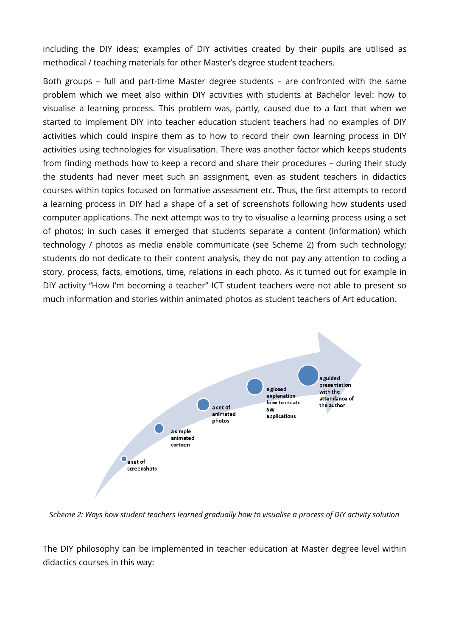including the DIY ideas; examples of DIY activities created by their pupils are utilised as methodical / teaching materials for other Master's degree student teachers.

Both groups – full and part-time Master degree students – are confronted with the same problem which we meet also within DIY activities with students at Bachelor level: how to visualise a learning process. This problem was, partly, caused due to a fact that when we started to implement DIY into teacher education student teachers had no examples of DIY activities which could inspire them as to how to record their own learning process in DIY activities using technologies for visualisation. There was another factor which keeps students from finding methods how to keep a record and share their procedures – during their study the students had never meet such an assignment, even as student teachers in didactics courses within topics focused on formative assessment etc. Thus, the first attempts to record a learning process in DIY had a shape of a set of screenshots following how students used computer applications. The next attempt was to try to visualise a learning process using a set of photos; in such cases it emerged that students separate a content (information) which technology / photos as media enable communicate (see Scheme 2) from such technology; students do not dedicate to their content analysis, they do not pay any attention to coding a story, process, facts, emotions, time, relations in each photo. As it turned out for example in DIY activity "How I'm becoming a teacher" ICT student teachers were not able to present so much information and stories within animated photos as student teachers of Art education.



*Scheme 2: Ways how student teachers learned gradually how to visualise a process of DIY activity solution*

The DIY philosophy can be implemented in teacher education at Master degree level within didactics courses in this way: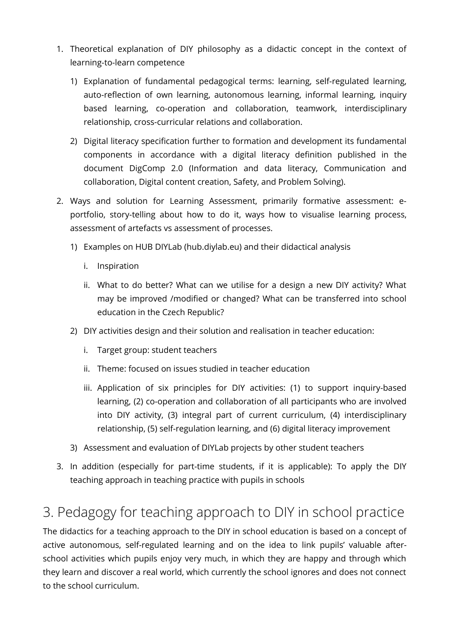- 1. Theoretical explanation of DIY philosophy as a didactic concept in the context of learning-to-learn competence
	- 1) Explanation of fundamental pedagogical terms: learning, self-regulated learning, auto-refection of own learning, autonomous learning, informal learning, inquiry based learning, co-operation and collaboration, teamwork, interdisciplinary relationship, cross-curricular relations and collaboration.
	- 2) Digital literacy specification further to formation and development its fundamental components in accordance with a digital literacy definition published in the document DigComp 2.0 (Information and data literacy, Communication and collaboration, Digital content creation, Safety, and Problem Solving).
- 2. Ways and solution for Learning Assessment, primarily formative assessment: eportfolio, story-telling about how to do it, ways how to visualise learning process, assessment of artefacts vs assessment of processes.
	- 1) Examples on HUB DIYLab (hub.diylab.eu) and their didactical analysis
		- i. Inspiration
		- ii. What to do better? What can we utilise for a design a new DIY activity? What may be improved /modified or changed? What can be transferred into school education in the Czech Republic?
	- 2) DIY activities design and their solution and realisation in teacher education:
		- i. Target group: student teachers
		- ii. Theme: focused on issues studied in teacher education
		- iii. Application of six principles for DIY activities: (1) to support inquiry-based learning, (2) co-operation and collaboration of all participants who are involved into DIY activity, (3) integral part of current curriculum, (4) interdisciplinary relationship, (5) self-regulation learning, and (6) digital literacy improvement
	- 3) Assessment and evaluation of DIYLab projects by other student teachers
- 3. In addition (especially for part-time students, if it is applicable): To apply the DIY teaching approach in teaching practice with pupils in schools

# 3. Pedagogy for teaching approach to DIY in school practice

The didactics for a teaching approach to the DIY in school education is based on a concept of active autonomous, self-regulated learning and on the idea to link pupils' valuable afterschool activities which pupils enjoy very much, in which they are happy and through which they learn and discover a real world, which currently the school ignores and does not connect to the school curriculum.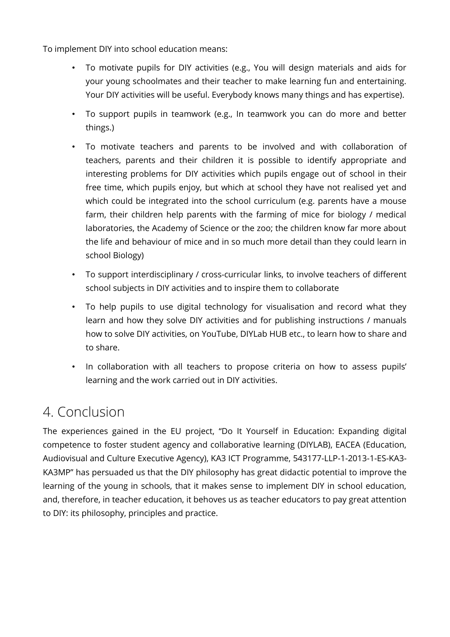To implement DIY into school education means:

- To motivate pupils for DIY activities (e.g., You will design materials and aids for your young schoolmates and their teacher to make learning fun and entertaining. Your DIY activities will be useful. Everybody knows many things and has expertise).
- To support pupils in teamwork (e.g., In teamwork you can do more and better things.)
- To motivate teachers and parents to be involved and with collaboration of teachers, parents and their children it is possible to identify appropriate and interesting problems for DIY activities which pupils engage out of school in their free time, which pupils enjoy, but which at school they have not realised yet and which could be integrated into the school curriculum (e.g. parents have a mouse farm, their children help parents with the farming of mice for biology / medical laboratories, the Academy of Science or the zoo; the children know far more about the life and behaviour of mice and in so much more detail than they could learn in school Biology)
- To support interdisciplinary / cross-curricular links, to involve teachers of diferent school subjects in DIY activities and to inspire them to collaborate
- To help pupils to use digital technology for visualisation and record what they learn and how they solve DIY activities and for publishing instructions / manuals how to solve DIY activities, on YouTube, DIYLab HUB etc., to learn how to share and to share.
- In collaboration with all teachers to propose criteria on how to assess pupils' learning and the work carried out in DIY activities.

# 4. Conclusion

The experiences gained in the EU project, "Do It Yourself in Education: Expanding digital competence to foster student agency and collaborative learning (DIYLAB), EACEA (Education, Audiovisual and Culture Executive Agency), KA3 ICT Programme, 543177-LLP-1-2013-1-ES-KA3- KA3MP" has persuaded us that the DIY philosophy has great didactic potential to improve the learning of the young in schools, that it makes sense to implement DIY in school education, and, therefore, in teacher education, it behoves us as teacher educators to pay great attention to DIY: its philosophy, principles and practice.